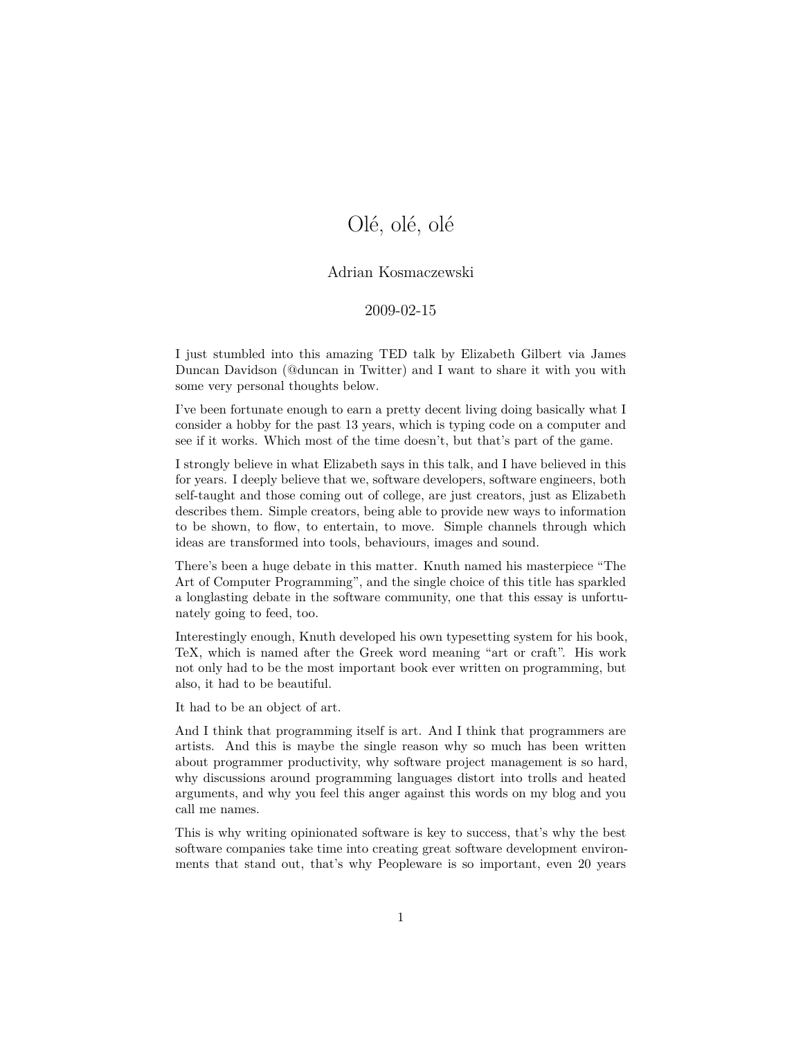## Olé, olé, olé

## Adrian Kosmaczewski

## 2009-02-15

I just stumbled into this amazing TED talk by Elizabeth Gilbert via James Duncan Davidson (@duncan in Twitter) and I want to share it with you with some very personal thoughts below.

I've been fortunate enough to earn a pretty decent living doing basically what I consider a hobby for the past 13 years, which is typing code on a computer and see if it works. Which most of the time doesn't, but that's part of the game.

I strongly believe in what Elizabeth says in this talk, and I have believed in this for years. I deeply believe that we, software developers, software engineers, both self-taught and those coming out of college, are just creators, just as Elizabeth describes them. Simple creators, being able to provide new ways to information to be shown, to flow, to entertain, to move. Simple channels through which ideas are transformed into tools, behaviours, images and sound.

There's been a huge debate in this matter. Knuth named his masterpiece "The Art of Computer Programming", and the single choice of this title has sparkled a longlasting debate in the software community, one that this essay is unfortunately going to feed, too.

Interestingly enough, Knuth developed his own typesetting system for his book, TeX, which is named after the Greek word meaning "art or craft". His work not only had to be the most important book ever written on programming, but also, it had to be beautiful.

It had to be an object of art.

And I think that programming itself is art. And I think that programmers are artists. And this is maybe the single reason why so much has been written about programmer productivity, why software project management is so hard, why discussions around programming languages distort into trolls and heated arguments, and why you feel this anger against this words on my blog and you call me names.

This is why writing opinionated software is key to success, that's why the best software companies take time into creating great software development environments that stand out, that's why Peopleware is so important, even 20 years